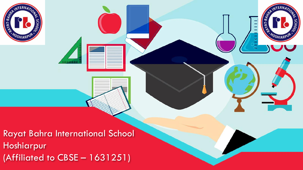

Rayat Bahra International School Hoshiarpur (Affiliated to CBSE – 1631251)

**ERN** 

OSHIARP

**SCHO** 

 $AT-BA$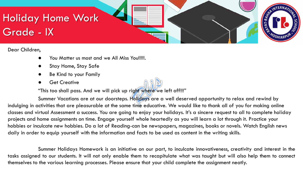

Dear Children,

- You Matter us most and we All Miss You!!!!!.
- Stay Home, Stay Safe
- Be Kind to your Family
- Get Creative

"This too shall pass. And we will pick up right where we left off!!!"

Summer Vacations are at our doorsteps. Holidays are a well deserved opportunity to relax and rewind by indulging in activities that are pleasurable at the same time educative. We would like to thank all of you for making online classes and virtual Assessment a success. You are going to enjoy your holidays. It's a sincere request to all to complete holiday projects and home assignments on time. Engage yourself whole heartedly as you will learn a lot through it. Practice your hobbies or inculcate new hobbies. Do a lot of Reading-can be newspapers, magazines, books or novels. Watch English news daily in order to equip yourself with the information and facts to be used as content in the writing skills.

Summer Holidays Homework is an initiative on our part, to inculcate innovativeness, creativity and interest in the tasks assigned to our students. It will not only enable them to recapitulate what was taught but will also help them to connect themselves to the various learning processes. Please ensure that your child complete the assignment neatly.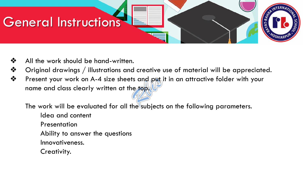

- ❖ All the work should be hand-written.
- $\dots$  Original drawings / illustrations and creative use of material will be appreciated.
- ❖ Present your work on A-4 size sheets and put it in an attractive folder with your name and class clearly written at the top.

The work will be evaluated for all the subjects on the following parameters. Idea and content

**Presentation** 

Ability to answer the questions

Innovativeness.

Creativity.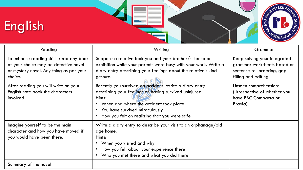



| Reading                                                                                                                                | Writing                                                                                                                                                                                                                                                    | Grammar                                                                                                           |
|----------------------------------------------------------------------------------------------------------------------------------------|------------------------------------------------------------------------------------------------------------------------------------------------------------------------------------------------------------------------------------------------------------|-------------------------------------------------------------------------------------------------------------------|
| To enhance reading skills read any book<br>of your choice may be detective novel<br>or mystery novel. Any thing as per your<br>choice. | Suppose a relative took you and your brother/sister to an<br>exhibition while your parents were busy with your work. Write a<br>diary entry describing your feelings about the relative's kind<br>gesture.                                                 | Keep solving your integrated<br>grammar worksheets based on<br>sentence re- ordering, gap<br>filling and editing. |
| After reading you will write on your<br>English note book the characters<br>involved.                                                  | Recently you survived an accident. Write a diary entry<br>describing your feelings on having survived uninjured.<br>Hints:<br>• When and where the accident took place<br>• You have survived miraculously<br>How you felt on realizing that you were safe | Unseen comprehensions<br>(Irrespective of whether you<br>have BBC Compacta or<br>Bravia)                          |
| Imagine yourself to be the main<br>character and how you have moved if<br>you would have been there.                                   | Write a diary entry to describe your visit to an orphanage/old<br>age home.<br>Hints:<br>When you visited and why<br>$\bullet$<br>How you felt about your experience there<br>$\bullet$<br>Who you met there and what you did there                        |                                                                                                                   |
| Summary of the novel                                                                                                                   |                                                                                                                                                                                                                                                            |                                                                                                                   |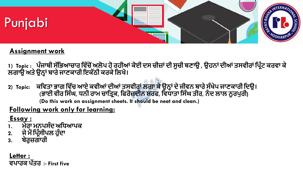

#### **Assignment work**

**1) Topic : ਪੰਜਾਬੀ ਸੱਭਿਆਚਾਰ ਭ ੱਚੋਂਅਲੋਪ ਹੋਰਹੀਆਂਕੋਈ ਦਸ ਚੀਜਾਂਦੀ ਸੂਚੀ ਬਣਾਉ , ਉਹਨਾਂਦੀਆਂਤਸ ੀਰਾਂਭਪਰੰਟ ਕਰ ਾ ਕੇ ਲਗਾਉ ਅਤੇਉਨ੍ਾਂਬਾਰੇਜਾਣਕਾਰੀ ਇਕੱਠੀ ਕਰਕੇਭਲਖੋ।**

**2) Topic: ਕਭ ਤਾ ਿਾਗ ਭ ੱਚ ਆਏ ਕ ੀਆਂਦੀਆਂਤਸ ੀਰਾਂਲਗਾ ਕੇਉਨ੍ਾਂਦੇਜੀ ਨ ਬਾਰੇਸੰਖੇਪ ਜਾਣਕਾਰੀ ਭਦਉ। (ਿਾਈ ੀਰ ਭਸੰਘ, ਧਨੀ ਰਾਮ ਚਾਭਤਰਕ, ਭਿਰੋਜਦੀਨ ਸ਼ਰਿ, ਭ ਧਾਤਾ ਭਸੰਘ ਤੀਰ, ਨੰ ਦ ਲਾਲ ਨੂਰਪੁਰੀ) (Do this work on assignment sheets. It should be neat and clean.)**

### **Following work only for learning:**

#### **Essay :**

- **1. ਮੇਰਾ ਮਨਪਸੰਦ ਅਭਧਆਪਕ**
- **2. ਜੇਮੈਂਭਪਰੰਸੀਪਲ ਹੁੰਦਾ**
- **3. ਬੇਰੁਜਗਾਰੀ**

**Letter : ਪਾਰਕ ਪੱਤਰ :- First five**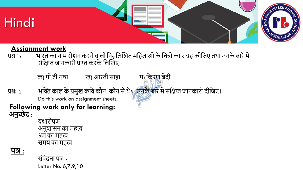

#### **Assignment work**

- प्रश्न 1:- भारत का नाम रोशन करनेवाली ननम्ननलखित मनिलाओंकेनित्ोंका संग्रि कीनिए तथा उनके बारेमें संक्षिप्त जानकारी प्राप्त करके लिखिए:-
	- क) पी.टी.उषा ख) आरती साहा ग) किरण बेदी
- प्रश्नः-2 भक्ति काल के प्रमुख कवि कौन- कौन से थे ? उनके बारे में संक्षिप्त जानकारी दीजिए। Do this work on assignment sheets.

## **Following work only for learning:**

**अनुच्छे द :**

वृक्षारोपण अनुशासन का मित्व श्रम का मित्व समय का मित्व

**पत्र :**

संवेदना पत् :- Letter No. 6,7,9,10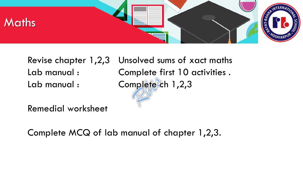

Revise chapter 1,2,3 Unsolved sums of xact maths Lab manual : Complete first 10 activities . Lab manual : Complete ch 1,2,3

Remedial worksheet

Complete MCQ of lab manual of chapter 1,2,3.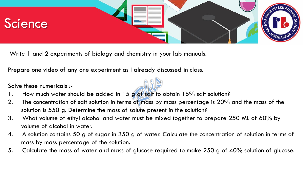

Write 1 and 2 experiments of biology and chemistry in your lab manuals.

Prepare one video of any one experiment as I already discussed in class.

Solve these numericals :-

- 1. How much water should be added in 15 g of salt to obtain 15% salt solution?
- 2. The concentration of salt solution in terms of mass by mass percentage is 20% and the mass of the solution is 550 g. Determine the mass of salute present in the solution?
- 3. What volume of ethyl alcohol and water must be mixed together to prepare 250 ML of 60% by volume of alcohol in water.
- 4. A solution contains 50 g of sugar in 350 g of water. Calculate the concentration of solution in terms of mass by mass percentage of the solution.
- 5. Calculate the mass of water and mass of glucose required to make 250 g of 40% solution of glucose.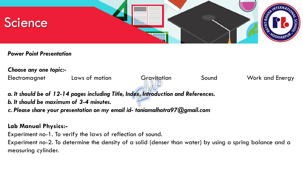

*Power Point Presentation*

*Choose any one topic:-*

Electromagnet Laws of motion Gravitation Sound Work and Energy

*a. It should be of 12-14 pages including Title, Index, Introduction and References. b. It should be maximum of 3-4 minutes.*

*c. Please share your presentation on my email id- taniamalhotra97@gmail.com*

#### **Lab Manual Physics:-**

Experiment no-1. To verify the laws of reflection of sound.

Experiment no-2. To determine the density of a solid (denser than water) by using a spring balance and a measuring cylinder.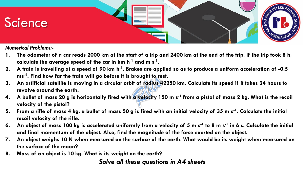

*Numerical Problems:-*

- **1. The odometer of a car reads 2000 km at the start of a trip and 2400 km at the end of the trip. If the trip took 8 h, calculate the average speed of the car in km h-1 and m s-1 .**
- **2. A train is travelling at a speed of 90 km h-1 . Brakes are applied so as to produce a uniform acceleration of -0.5 ms-2 . Find how far the train will go before it is brought to rest.**
- **3. An artificial satellite is moving in a circular orbit of radius 42250 km. Calculate its speed if it takes 24 hours to revolve around the earth.**
- **4. A bullet of mass 20 g is horizontally fired with a velocity 150 m s-1 from a pistol of mass 2 kg. What is the recoil velocity of the pistol?**
- **5. From a rifle of mass 4 kg, a bullet of mass 50 g is fired with an initial velocity of 35 m s-1 . Calculate the initial recoil velocity of the rifle.**
- **6. An object of mass 100 kg is accelerated uniformly from a velocity of 5 m s-1 to 8 m s-1 in 6 s. Calculate the initial and final momentum of the object. Also, find the magnitude of the force exerted on the object.**
- **7. An object weighs 10 N when measured on the surface of the earth. What would be its weight when measured on the surface of the moon?**
- **8. Mass of an object is 10 kg. What is its weight on the earth?**

#### *Solve all these questions in A4 sheets*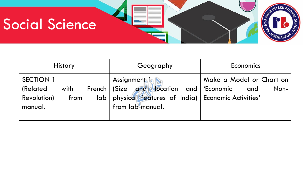# Social Science

| <b>History</b>                                                                  | Geography                                                                                                                                         | Economics                               |
|---------------------------------------------------------------------------------|---------------------------------------------------------------------------------------------------------------------------------------------------|-----------------------------------------|
| <b>SECTION 1</b><br>(Related)<br>with<br><b>Revolution</b> )<br>from<br>manual. | <b>Assignment l A</b><br>French   (Size and Vocation and Economic<br>lab   physical features of India)   Economic Activities'<br>from lab manual. | Make a Model or Chart on<br>Non-<br>and |

REAL MONTERNATION

**SCHO**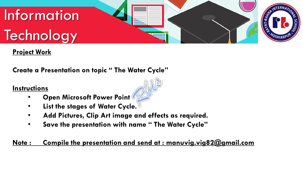

#### **Project Work**

**Create a Presentation on topic " The Water Cycle"**

#### **Instructions**

- **Open Microsoft Power Point**
- **List the stages of Water Cycle.**
- **Add Pictures, Clip Art image and effects as required.**
- **Save the presentation with name " The Water Cycle"**

#### **Note : Compile the presentation and send at : manuvig.vig82@gmail.com**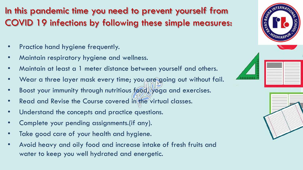In this pandemic time you need to prevent yourself from COVID 19 infections by following these simple measures:

- Practice hand hygiene frequently.
- Maintain respiratory hygiene and wellness.
- Maintain at least a 1 meter distance between yourself and others.
- Wear a three layer mask every time; you are going out without fail.
- Boost your immunity through nutritious food, yoga and exercises.
- Read and Revise the Course covered in the virtual classes.
- Understand the concepts and practice questions.
- Complete your pending assignments.(if any).
- Take good care of your health and hygiene.
- Avoid heavy and oily food and increase intake of fresh fruits and water to keep you well hydrated and energetic.